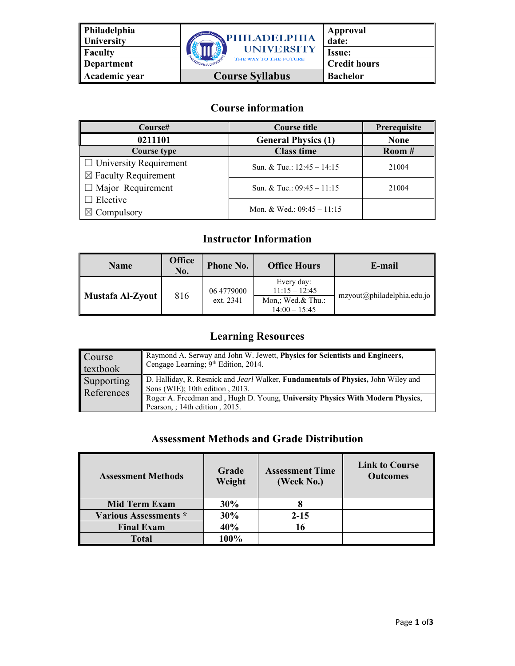| Philadelphia<br>University | <b><i><u>APHILADELPHIA</u></i></b> | Approval<br>date:   |
|----------------------------|------------------------------------|---------------------|
| Faculty                    | <b>UNIVERSITY</b>                  | <b>Issue:</b>       |
| <b>Department</b>          | THE WAY TO THE FUTURE              | <b>Credit hours</b> |
| Academic year              | <b>Course Syllabus</b>             | <b>Bachelor</b>     |

# **Course information**

| Course#                         | <b>Course title</b>          | Prerequisite |
|---------------------------------|------------------------------|--------------|
| 0211101                         | <b>General Physics (1)</b>   | <b>None</b>  |
| <b>Course type</b>              | <b>Class time</b>            | Room#        |
| $\Box$ University Requirement   | Sun. & Tue.: $12:45 - 14:15$ | 21004        |
| $\boxtimes$ Faculty Requirement |                              |              |
| $\Box$ Major Requirement        | Sun. & Tue.: $09:45 - 11:15$ | 21004        |
| $\Box$ Elective                 |                              |              |
| $\boxtimes$ Compulsory          | Mon. & Wed.: $09:45 - 11:15$ |              |

# **Instructor Information**

| Name             | <b>Office</b><br>No. | <b>Phone No.</b>        | <b>Office Hours</b>                                                   | E-mail                     |
|------------------|----------------------|-------------------------|-----------------------------------------------------------------------|----------------------------|
| Mustafa Al-Zyout | 816                  | 06 4779000<br>ext. 2341 | Every day:<br>$11:15 - 12:45$<br>Mon,; Wed.& Thu.:<br>$14:00 - 15:45$ | mzyout@philadelphia.edu.jo |

# **Learning Resources**

| <b>Course</b> | Raymond A. Serway and John W. Jewett, Physics for Scientists and Engineers,                                     |
|---------------|-----------------------------------------------------------------------------------------------------------------|
| textbook      | Cengage Learning; 9th Edition, 2014.                                                                            |
| Supporting    | D. Halliday, R. Resnick and Jearl Walker, Fundamentals of Physics, John Wiley and                               |
| References    | Sons (WIE); $10th$ edition, $2013$ .                                                                            |
|               | Roger A. Freedman and, Hugh D. Young, University Physics With Modern Physics,<br>Pearson, : 14th edition, 2015. |

#### **Assessment Methods and Grade Distribution**

| <b>Assessment Methods</b>    | Grade<br>Weight | <b>Assessment Time</b><br>(Week No.) | <b>Link to Course</b><br><b>Outcomes</b> |
|------------------------------|-----------------|--------------------------------------|------------------------------------------|
| <b>Mid Term Exam</b>         | 30%             |                                      |                                          |
| <b>Various Assessments *</b> | 30%             | $2 - 15$                             |                                          |
| <b>Final Exam</b>            | 40%             | 16                                   |                                          |
| <b>Total</b>                 | 100%            |                                      |                                          |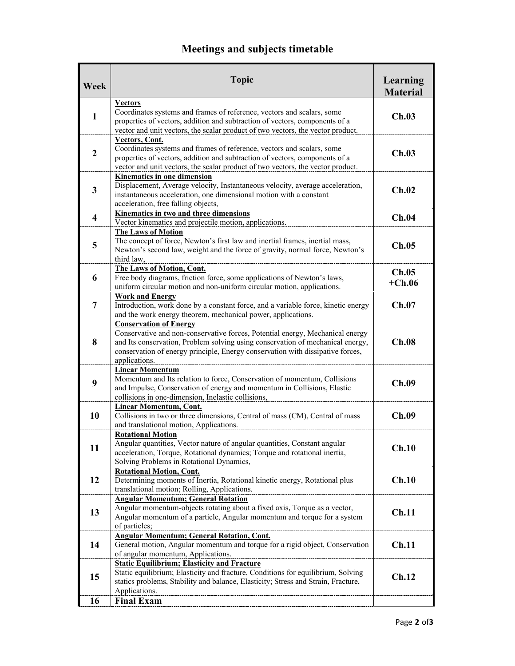# **Meetings and subjects timetable**

| Week                    | <b>Topic</b>                                                                                                                                                                                                                                                                                                                                                                                                                                                                         | Learning<br><b>Material</b> |
|-------------------------|--------------------------------------------------------------------------------------------------------------------------------------------------------------------------------------------------------------------------------------------------------------------------------------------------------------------------------------------------------------------------------------------------------------------------------------------------------------------------------------|-----------------------------|
| $\mathbf{1}$            | <b>Vectors</b><br>Coordinates systems and frames of reference, vectors and scalars, some<br>properties of vectors, addition and subtraction of vectors, components of a<br>vector and unit vectors, the scalar product of two vectors, the vector product.                                                                                                                                                                                                                           | Ch.03                       |
| $\overline{2}$          | Vectors, Cont.<br>Coordinates systems and frames of reference, vectors and scalars, some<br>properties of vectors, addition and subtraction of vectors, components of a<br>vector and unit vectors, the scalar product of two vectors, the vector product.                                                                                                                                                                                                                           | Ch.03                       |
| $\mathbf{3}$            | Kinematics in one dimension<br>Displacement, Average velocity, Instantaneous velocity, average acceleration,<br>instantaneous acceleration, one dimensional motion with a constant<br>acceleration, free falling objects,                                                                                                                                                                                                                                                            | Ch.02                       |
| $\overline{\mathbf{4}}$ | Kinematics in two and three dimensions<br>Vector kinematics and projectile motion, applications.                                                                                                                                                                                                                                                                                                                                                                                     | Ch.04                       |
| 5                       | <b>The Laws of Motion</b><br>The concept of force, Newton's first law and inertial frames, inertial mass,<br>Newton's second law, weight and the force of gravity, normal force, Newton's<br>third law,                                                                                                                                                                                                                                                                              | Ch.05                       |
| 6                       | The Laws of Motion, Cont.<br>Free body diagrams, friction force, some applications of Newton's laws,<br>uniform circular motion and non-uniform circular motion, applications.                                                                                                                                                                                                                                                                                                       | Ch.05<br>$+Ch.06$           |
| $\overline{7}$          | <b>Work and Energy</b><br>Introduction, work done by a constant force, and a variable force, kinetic energy<br>and the work energy theorem, mechanical power, applications.                                                                                                                                                                                                                                                                                                          | Ch.07                       |
| 8                       | <b>Conservation of Energy</b><br>Conservative and non-conservative forces, Potential energy, Mechanical energy<br>and Its conservation, Problem solving using conservation of mechanical energy,<br>conservation of energy principle, Energy conservation with dissipative forces,<br>applications.                                                                                                                                                                                  | Ch.08                       |
| 9                       | <b>Linear Momentum</b><br>Momentum and Its relation to force, Conservation of momentum, Collisions<br>and Impulse, Conservation of energy and momentum in Collisions, Elastic<br>collisions in one-dimension, Inelastic collisions,                                                                                                                                                                                                                                                  | Ch.09                       |
| 10                      | <b>Linear Momentum, Cont.</b><br>Collisions in two or three dimensions, Central of mass (CM), Central of mass<br>and translational motion, Applications.                                                                                                                                                                                                                                                                                                                             | Ch.09                       |
| 11                      | <b>Rotational Motion</b><br>Angular quantities, Vector nature of angular quantities, Constant angular<br>acceleration, Torque, Rotational dynamics; Torque and rotational inertia,<br>Solving Problems in Rotational Dynamics,                                                                                                                                                                                                                                                       | Ch.10                       |
| 12                      | <b>Rotational Motion, Cont.</b><br>Determining moments of Inertia, Rotational kinetic energy, Rotational plus<br>translational motion; Rolling, Applications.                                                                                                                                                                                                                                                                                                                        | Ch.10                       |
| 13                      | <b>Angular Momentum; General Rotation</b><br>Angular momentum-objects rotating about a fixed axis, Torque as a vector,<br>Angular momentum of a particle, Angular momentum and torque for a system<br>of particles;                                                                                                                                                                                                                                                                  | Ch.11                       |
| 14                      | <b>Angular Momentum; General Rotation, Cont.</b><br>General motion, Angular momentum and torque for a rigid object, Conservation<br>of angular momentum, Applications.                                                                                                                                                                                                                                                                                                               | Ch.11                       |
| 15                      | <b>Static Equilibrium; Elasticity and Fracture</b><br>Static equilibrium; Elasticity and fracture, Conditions for equilibrium, Solving<br>statics problems, Stability and balance, Elasticity; Stress and Strain, Fracture,<br>Applications.<br><u> 1989 - Johann Harry Harry Harry Harry Harry Harry Harry Harry Harry Harry Harry Harry Harry Harry Harry Harry Harry Harry Harry Harry Harry Harry Harry Harry Harry Harry Harry Harry Harry Harry Harry Harry Harry Harry Ha</u> | Ch.12                       |
| 16                      | <b>Final Exam</b>                                                                                                                                                                                                                                                                                                                                                                                                                                                                    |                             |